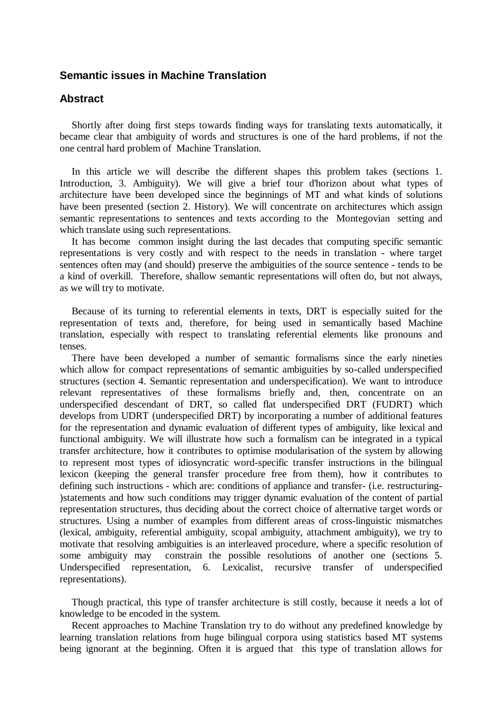## **Semantic issues in Machine Translation**

## **Abstract**

Shortly after doing first steps towards finding ways for translating texts automatically, it became clear that ambiguity of words and structures is one of the hard problems, if not the one central hard problem of Machine Translation.

In this article we will describe the different shapes this problem takes (sections 1. Introduction, 3. Ambiguity). We will give a brief tour d'horizon about what types of architecture have been developed since the beginnings of MT and what kinds of solutions have been presented (section 2. History). We will concentrate on architectures which assign semantic representations to sentences and texts according to the Montegovian setting and which translate using such representations.

It has become common insight during the last decades that computing specific semantic representations is very costly and with respect to the needs in translation - where target sentences often may (and should) preserve the ambiguities of the source sentence - tends to be a kind of overkill. Therefore, shallow semantic representations will often do, but not always, as we will try to motivate.

Because of its turning to referential elements in texts, DRT is especially suited for the representation of texts and, therefore, for being used in semantically based Machine translation, especially with respect to translating referential elements like pronouns and tenses.

There have been developed a number of semantic formalisms since the early nineties which allow for compact representations of semantic ambiguities by so-called underspecified structures (section 4. Semantic representation and underspecification). We want to introduce relevant representatives of these formalisms briefly and, then, concentrate on an underspecified descendant of DRT, so called flat underspecified DRT (FUDRT) which develops from UDRT (underspecified DRT) by incorporating a number of additional features for the representation and dynamic evaluation of different types of ambiguity, like lexical and functional ambiguity. We will illustrate how such a formalism can be integrated in a typical transfer architecture, how it contributes to optimise modularisation of the system by allowing to represent most types of idiosyncratic word-specific transfer instructions in the bilingual lexicon (keeping the general transfer procedure free from them), how it contributes to defining such instructions - which are: conditions of appliance and transfer- (i.e. restructuring- )statements and how such conditions may trigger dynamic evaluation of the content of partial representation structures, thus deciding about the correct choice of alternative target words or structures. Using a number of examples from different areas of cross-linguistic mismatches (lexical, ambiguity, referential ambiguity, scopal ambiguity, attachment ambiguity), we try to motivate that resolving ambiguities is an interleaved procedure, where a specific resolution of some ambiguity may constrain the possible resolutions of another one (sections 5. Underspecified representation, 6. Lexicalist, recursive transfer of underspecified representations).

Though practical, this type of transfer architecture is still costly, because it needs a lot of knowledge to be encoded in the system.

Recent approaches to Machine Translation try to do without any predefined knowledge by learning translation relations from huge bilingual corpora using statistics based MT systems being ignorant at the beginning. Often it is argued that this type of translation allows for